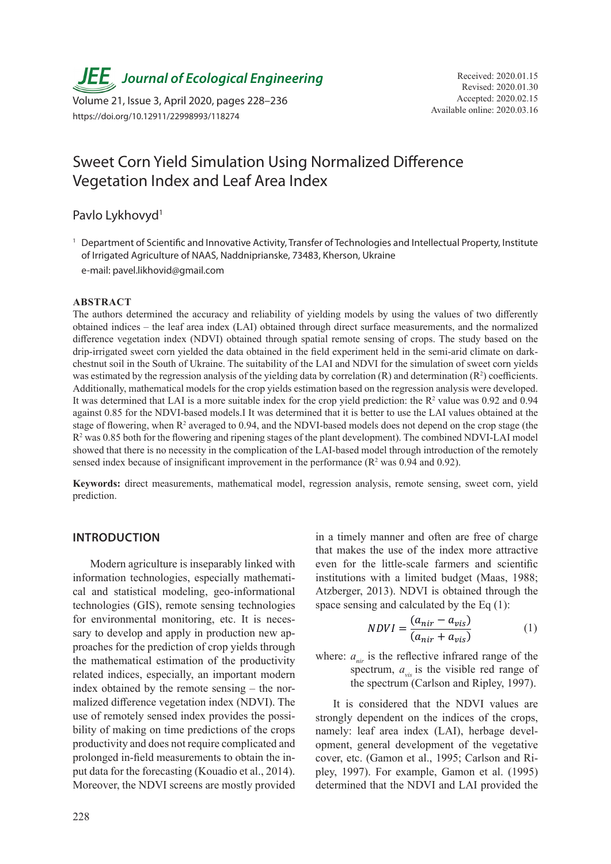**JEE**, Journal of Ecological Engineering Received: 2020.01.15

Available online: 2020.03.16 Volume 21, Issue 3, April 2020, pages 228–236 https://doi.org/10.12911/22998993/118274

# Sweet Corn Yield Simulation Using Normalized Difference Vegetation Index and Leaf Area Index

Pavlo Lykhovyd<sup>1</sup>

<sup>1</sup> Department of Scientific and Innovative Activity, Transfer of Technologies and Intellectual Property, Institute of Irrigated Agriculture of NAAS, Naddniprianske, 73483, Kherson, Ukraine

e-mail: pavel.likhovid@gmail.com

#### **ABSTRACT**

The authors determined the accuracy and reliability of yielding models by using the values of two differently obtained indices – the leaf area index (LAI) obtained through direct surface measurements, and the normalized difference vegetation index (NDVI) obtained through spatial remote sensing of crops. The study based on the drip-irrigated sweet corn yielded the data obtained in the field experiment held in the semi-arid climate on darkchestnut soil in the South of Ukraine. The suitability of the LAI and NDVI for the simulation of sweet corn yields was estimated by the regression analysis of the yielding data by correlation  $(R)$  and determination  $(R^2)$  coefficients. Additionally, mathematical models for the crop yields estimation based on the regression analysis were developed. It was determined that LAI is a more suitable index for the crop yield prediction: the  $R<sup>2</sup>$  value was 0.92 and 0.94 against 0.85 for the NDVI-based models.I It was determined that it is better to use the LAI values obtained at the stage of flowering, when  $R^2$  averaged to 0.94, and the NDVI-based models does not depend on the crop stage (the  $R<sup>2</sup>$  was 0.85 both for the flowering and ripening stages of the plant development). The combined NDVI-LAI model showed that there is no necessity in the complication of the LAI-based model through introduction of the remotely sensed index because of insignificant improvement in the performance  $(R^2 \text{ was } 0.94 \text{ and } 0.92)$ .

**Keywords:** direct measurements, mathematical model, regression analysis, remote sensing, sweet corn, yield prediction.

# **INTRODUCTION**

Modern agriculture is inseparably linked with information technologies, especially mathematical and statistical modeling, geo-informational technologies (GIS), remote sensing technologies for environmental monitoring, etc. It is necessary to develop and apply in production new approaches for the prediction of crop yields through the mathematical estimation of the productivity related indices, especially, an important modern index obtained by the remote sensing – the normalized difference vegetation index (NDVI). The use of remotely sensed index provides the possibility of making on time predictions of the crops productivity and does not require complicated and prolonged in-field measurements to obtain the input data for the forecasting (Kouadio et al., 2014). Moreover, the NDVI screens are mostly provided

in a timely manner and often are free of charge that makes the use of the index more attractive even for the little-scale farmers and scientific institutions with a limited budget (Maas, 1988; Atzberger, 2013). NDVI is obtained through the space sensing and calculated by the Eq (1):

$$
NDVI = \frac{(a_{nir} - a_{vis})}{(a_{nir} + a_{vis})}
$$
 (1)

 $a_{\text{air}}$  is the reflective inflated range of the spectrum,  $a_{\text{vis}}$  is the visible red range of the spectrum (Carlson and Ripley, 1997). where:  $a_{\text{air}}$  is the reflective infrared range of the

It is considered that the NDVI values are strongly dependent on the indices of the crops, namely: leaf area index (LAI), herbage development, general development of the vegetative cover, etc. (Gamon et al., 1995; Carlson and Ripley, 1997). For example, Gamon et al. (1995) determined that the NDVI and LAI provided the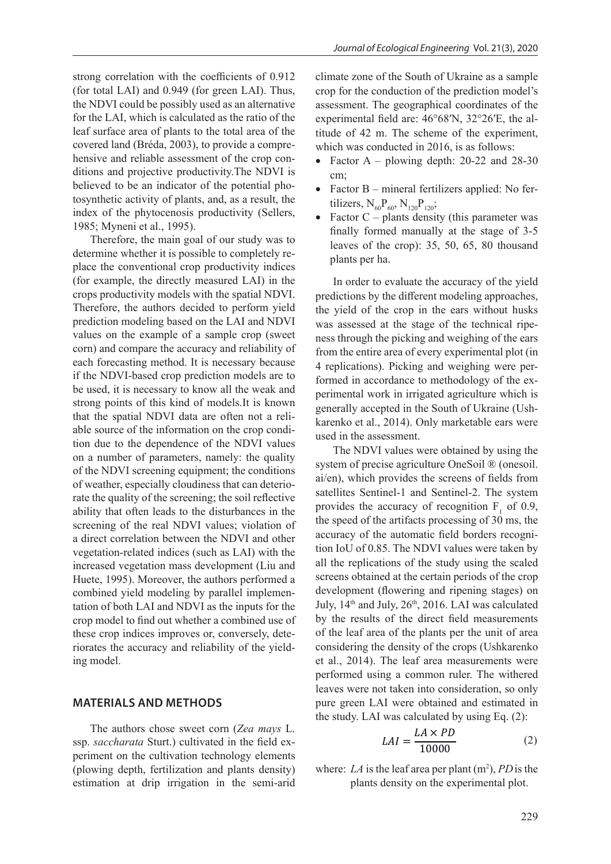strong correlation with the coefficients of 0.912 (for total LAI) and 0.949 (for green LAI). Thus, the NDVI could be possibly used as an alternative for the LAI, which is calculated as the ratio of the leaf surface area of plants to the total area of the covered land (Bréda, 2003), to provide a comprehensive and reliable assessment of the crop conditions and projective productivity.The NDVI is believed to be an indicator of the potential photosynthetic activity of plants, and, as a result, the index of the phytocenosis productivity (Sellers, 1985; Myneni et al., 1995).

Therefore, the main goal of our study was to determine whether it is possible to completely replace the conventional crop productivity indices (for example, the directly measured LAI) in the crops productivity models with the spatial NDVI. Therefore, the authors decided to perform yield prediction modeling based on the LAI and NDVI values on the example of a sample crop (sweet corn) and compare the accuracy and reliability of each forecasting method. It is necessary because if the NDVI-based crop prediction models are to be used, it is necessary to know all the weak and strong points of this kind of models.It is known that the spatial NDVI data are often not a reliable source of the information on the crop condition due to the dependence of the NDVI values on a number of parameters, namely: the quality of the NDVI screening equipment; the conditions of weather, especially cloudiness that can deteriorate the quality of the screening; the soil reflective ability that often leads to the disturbances in the screening of the real NDVI values; violation of a direct correlation between the NDVI and other vegetation-related indices (such as LAI) with the increased vegetation mass development (Liu and Huete, 1995). Moreover, the authors performed a combined yield modeling by parallel implementation of both LAI and NDVI as the inputs for the crop model to find out whether a combined use of these crop indices improves or, conversely, deteriorates the accuracy and reliability of the yielding model.

#### **MATERIALS AND METHODS**

The authors chose sweet corn (*Zea mays* L. ssp. *saccharata* Sturt.) cultivated in the field experiment on the cultivation technology elements (plowing depth, fertilization and plants density) estimation at drip irrigation in the semi-arid

climate zone of the South of Ukraine as a sample crop for the conduction of the prediction model's assessment. The geographical coordinates of the experimental field are: 46°68′N, 32°26′E, the altitude of 42 m. The scheme of the experiment, which was conducted in 2016, is as follows:

- Factor  $A$  plowing depth: 20-22 and 28-30 cm;
- Factor B mineral fertilizers applied: No fertilizers,  $N_{60}P_{60}$ ,  $N_{120}P_{120}$ ;
- Factor  $C$  plants density (this parameter was finally formed manually at the stage of 3-5 leaves of the crop): 35, 50, 65, 80 thousand plants per ha.

In order to evaluate the accuracy of the yield predictions by the different modeling approaches, the yield of the crop in the ears without husks was assessed at the stage of the technical ripeness through the picking and weighing of the ears from the entire area of every experimental plot (in 4 replications). Picking and weighing were performed in accordance to methodology of the experimental work in irrigated agriculture which is generally accepted in the South of Ukraine (Ushkarenko et al., 2014). Only marketable ears were used in the assessment.

The NDVI values were obtained by using the system of precise agriculture OneSoil ® (onesoil. ai/en), which provides the screens of fields from satellites Sentinel-1 and Sentinel-2. The system provides the accuracy of recognition  $F_1$  of 0.9, the speed of the artifacts processing of 30 ms, the accuracy of the automatic field borders recognition IoU of 0.85. The NDVI values were taken by all the replications of the study using the scaled screens obtained at the certain periods of the crop development (flowering and ripening stages) on July, 14<sup>th</sup> and July, 26<sup>th</sup>, 2016. LAI was calculated by the results of the direct field measurements of the leaf area of the plants per the unit of area considering the density of the crops (Ushkarenko et al., 2014). The leaf area measurements were performed using a common ruler. The withered leaves were not taken into consideration, so only reaves were not taken mto consideration, so only pure green LAI were obtained and estimated in the study. LAI was calculated by using Eq.  $(2)$ :

$$
LAI = \frac{LA \times PD}{10000} \tag{2}
$$

where:  $LA$  is the leaf area per plant  $(m^2)$ ,  $PD$  is the plants density on the experimental plot.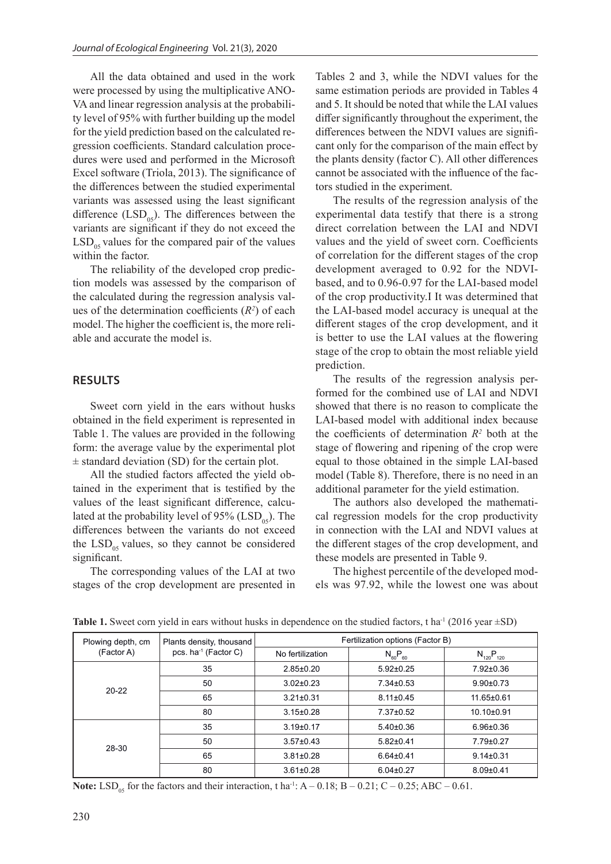All the data obtained and used in the work were processed by using the multiplicative ANO-VA and linear regression analysis at the probability level of 95% with further building up the model for the yield prediction based on the calculated regression coefficients. Standard calculation procedures were used and performed in the Microsoft Excel software (Triola, 2013). The significance of the differences between the studied experimental variants was assessed using the least significant difference  $(LSD<sub>05</sub>)$ . The differences between the variants are significant if they do not exceed the  $LSD<sub>05</sub>$  values for the compared pair of the values within the factor.

The reliability of the developed crop prediction models was assessed by the comparison of the calculated during the regression analysis values of the determination coefficients  $(R^2)$  of each model. The higher the coefficient is, the more reliable and accurate the model is.

#### **RESULTS**

Sweet corn yield in the ears without husks obtained in the field experiment is represented in Table 1. The values are provided in the following form: the average value by the experimental plot  $\pm$  standard deviation (SD) for the certain plot.

All the studied factors affected the yield obtained in the experiment that is testified by the values of the least significant difference, calculated at the probability level of 95% ( $LSD<sub>05</sub>$ ). The differences between the variants do not exceed the  $LSD<sub>05</sub>$  values, so they cannot be considered significant.

The corresponding values of the LAI at two stages of the crop development are presented in

Tables 2 and 3, while the NDVI values for the same estimation periods are provided in Tables 4 and 5. It should be noted that while the LAI values differ significantly throughout the experiment, the differences between the NDVI values are significant only for the comparison of the main effect by the plants density (factor C). All other differences cannot be associated with the influence of the factors studied in the experiment.

The results of the regression analysis of the experimental data testify that there is a strong direct correlation between the LAI and NDVI values and the yield of sweet corn. Coefficients of correlation for the different stages of the crop development averaged to 0.92 for the NDVIbased, and to 0.96-0.97 for the LAI-based model of the crop productivity.I It was determined that the LAI-based model accuracy is unequal at the different stages of the crop development, and it is better to use the LAI values at the flowering stage of the crop to obtain the most reliable yield prediction.

The results of the regression analysis performed for the combined use of LAI and NDVI showed that there is no reason to complicate the LAI-based model with additional index because the coefficients of determination  $R^2$  both at the stage of flowering and ripening of the crop were equal to those obtained in the simple LAI-based model (Table 8). Therefore, there is no need in an additional parameter for the yield estimation.

The authors also developed the mathematical regression models for the crop productivity in connection with the LAI and NDVI values at the different stages of the crop development, and these models are presented in Table 9.

The highest percentile of the developed models was 97.92, while the lowest one was about

| Plowing depth, cm | Plants density, thousand         | Fertilization options (Factor B) |                 |                  |  |  |  |
|-------------------|----------------------------------|----------------------------------|-----------------|------------------|--|--|--|
| (Factor A)        | pcs. ha <sup>-1</sup> (Factor C) | No fertilization                 | $N_{60}P_{60}$  | $N_{120}P_{120}$ |  |  |  |
|                   | 35                               | $2.85 \pm 0.20$                  | $5.92 \pm 0.25$ | $7.92 \pm 0.36$  |  |  |  |
| $20 - 22$         | 50                               | $3.02 \pm 0.23$                  | $7.34 \pm 0.53$ | $9.90 \pm 0.73$  |  |  |  |
|                   | 65                               | $3.21 \pm 0.31$                  | $8.11 \pm 0.45$ | 11.65±0.61       |  |  |  |
|                   | 80                               | $3.15 \pm 0.28$                  | 7.37±0.52       | $10.10+0.91$     |  |  |  |
| 28-30             | 35                               | $3.19 \pm 0.17$                  | $5.40\pm0.36$   | $6.96 \pm 0.36$  |  |  |  |
|                   | 50                               | $3.57 \pm 0.43$                  | $5.82 \pm 0.41$ | 7.79±0.27        |  |  |  |
|                   | 65                               | $3.81 \pm 0.28$                  | $6.64 \pm 0.41$ | $9.14 \pm 0.31$  |  |  |  |
|                   | 80                               | $3.61 \pm 0.28$                  | $6.04 \pm 0.27$ | $8.09 \pm 0.41$  |  |  |  |

**Table 1.** Sweet corn yield in ears without husks in dependence on the studied factors, t ha<sup>-1</sup> (2016 year  $\pm$ SD)

**Note:** LSD<sub>05</sub> for the factors and their interaction, t ha<sup>-1</sup>: A – 0.18; B – 0.21; C – 0.25; ABC – 0.61.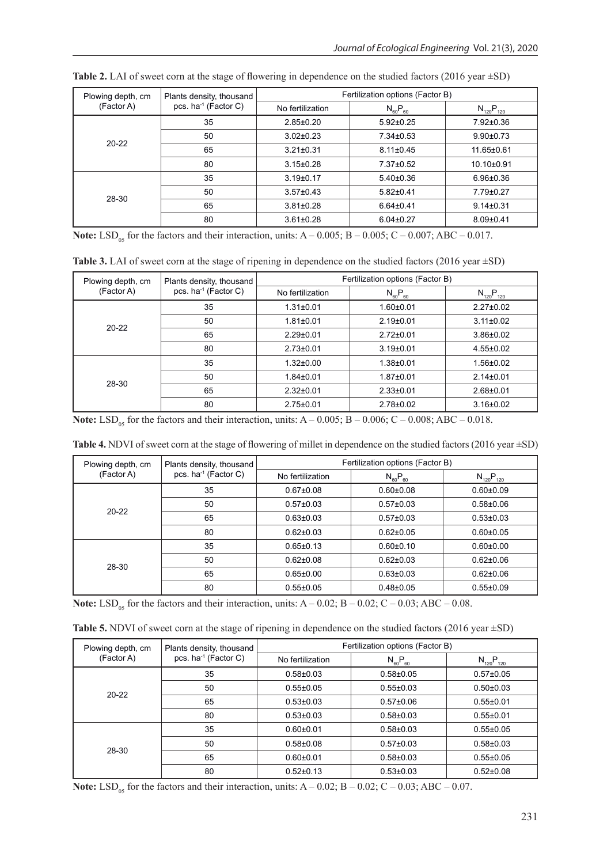| Plowing depth, cm | Plants density, thousand         | Fertilization options (Factor B) |                 |                  |  |  |  |
|-------------------|----------------------------------|----------------------------------|-----------------|------------------|--|--|--|
| (Factor A)        | pcs. ha <sup>-1</sup> (Factor C) | No fertilization                 | $N_{60}P_{60}$  | $N_{120}P_{120}$ |  |  |  |
|                   | 35                               | $2.85 \pm 0.20$                  | $5.92 \pm 0.25$ | $7.92 \pm 0.36$  |  |  |  |
| $20 - 22$         | 50                               | $3.02 \pm 0.23$                  | $7.34 \pm 0.53$ | $9.90 \pm 0.73$  |  |  |  |
|                   | 65                               | $3.21 \pm 0.31$                  | $8.11 \pm 0.45$ | $11.65 \pm 0.61$ |  |  |  |
|                   | 80                               | $3.15 \pm 0.28$                  | 7.37±0.52       | $10.10 \pm 0.91$ |  |  |  |
| 28-30             | 35                               | $3.19 \pm 0.17$                  | $5.40 \pm 0.36$ | $6.96 \pm 0.36$  |  |  |  |
|                   | 50                               | $3.57 \pm 0.43$                  | $5.82 \pm 0.41$ | $7.79 \pm 0.27$  |  |  |  |
|                   | 65                               | $3.81 \pm 0.28$                  | $6.64 \pm 0.41$ | $9.14 \pm 0.31$  |  |  |  |
|                   | 80                               | $3.61 \pm 0.28$                  | $6.04 \pm 0.27$ | $8.09 \pm 0.41$  |  |  |  |

Table 2. LAI of sweet corn at the stage of flowering in dependence on the studied factors (2016 year  $\pm$ SD)

**Note:** LSD<sub>05</sub> for the factors and their interaction, units:  $A - 0.005$ ;  $B - 0.005$ ;  $C - 0.007$ ; ABC – 0.017.

Table 3. LAI of sweet corn at the stage of ripening in dependence on the studied factors (2016 year  $\pm$ SD)

| Plowing depth, cm | Plants density, thousand         | Fertilization options (Factor B) |                 |                  |  |  |
|-------------------|----------------------------------|----------------------------------|-----------------|------------------|--|--|
| (Factor A)        | pcs. ha <sup>-1</sup> (Factor C) | No fertilization                 | $N_{60}P_{60}$  | $N_{120}P_{120}$ |  |  |
|                   | 35                               | $1.31 \pm 0.01$                  | $1.60 + 0.01$   | $2.27 \pm 0.02$  |  |  |
| $20 - 22$         | 50                               | $1.81 \pm 0.01$                  | $2.19+0.01$     | $3.11 \pm 0.02$  |  |  |
|                   | 65                               | $2.29 \pm 0.01$                  | $2.72 \pm 0.01$ | $3.86 \pm 0.02$  |  |  |
|                   | 80                               | $2.73 \pm 0.01$                  | $3.19 \pm 0.01$ | $4.55 \pm 0.02$  |  |  |
| 28-30             | 35                               | $1.32 \pm 0.00$                  | $1.38 + 0.01$   | 1.56±0.02        |  |  |
|                   | 50                               | $1.84 \pm 0.01$                  | $1.87 + 0.01$   | $2.14 \pm 0.01$  |  |  |
|                   | 65                               | $2.32 \pm 0.01$                  | $2.33 \pm 0.01$ | $2.68 + 0.01$    |  |  |
|                   | 80                               | $2.75 \pm 0.01$                  | $2.78 \pm 0.02$ | $3.16 \pm 0.02$  |  |  |

**Note:** LSD<sub>05</sub> for the factors and their interaction, units:  $A - 0.005$ ;  $B - 0.006$ ;  $C - 0.008$ ; ABC – 0.018.

| <b>Table 4.</b> NDVI of sweet corn at the stage of flowering of millet in dependence on the studied factors (2016 year $\pm$ SD) |  |  |  |  |
|----------------------------------------------------------------------------------------------------------------------------------|--|--|--|--|
|----------------------------------------------------------------------------------------------------------------------------------|--|--|--|--|

| Plowing depth, cm | Plants density, thousand         | Fertilization options (Factor B) |                 |                  |  |  |
|-------------------|----------------------------------|----------------------------------|-----------------|------------------|--|--|
| (Factor A)        | pcs. ha <sup>-1</sup> (Factor C) | No fertilization                 | $N_{60}P_{60}$  | $N_{120}P_{120}$ |  |  |
|                   | 35                               | $0.67 + 0.08$                    | $0.60 + 0.08$   | $0.60 \pm 0.09$  |  |  |
| $20 - 22$         | 50                               | $0.57 \pm 0.03$                  | $0.57+0.03$     | $0.58 + 0.06$    |  |  |
|                   | 65                               | $0.63 \pm 0.03$                  | $0.57 \pm 0.03$ | $0.53 \pm 0.03$  |  |  |
|                   | 80                               | $0.62 \pm 0.03$                  | $0.62 \pm 0.05$ | $0.60 + 0.05$    |  |  |
| 28-30             | 35                               | $0.65 \pm 0.13$                  | $0.60 + 0.10$   | $0.60 + 0.00$    |  |  |
|                   | 50                               | $0.62 \pm 0.08$                  | $0.62 \pm 0.03$ | $0.62 \pm 0.06$  |  |  |
|                   | 65                               | $0.65 \pm 0.00$                  | $0.63 \pm 0.03$ | $0.62 \pm 0.06$  |  |  |
|                   | 80                               | $0.55 \pm 0.05$                  | $0.48 + 0.05$   | $0.55 \pm 0.09$  |  |  |

**Note:** LSD<sub>05</sub> for the factors and their interaction, units:  $A - 0.02$ ;  $B - 0.02$ ;  $C - 0.03$ ; ABC – 0.08.

Table 5. NDVI of sweet corn at the stage of ripening in dependence on the studied factors (2016 year  $\pm$ SD)

| Plowing depth, cm | Plants density, thousand         | Fertilization options (Factor B) |                 |                  |  |  |
|-------------------|----------------------------------|----------------------------------|-----------------|------------------|--|--|
| (Factor A)        | pcs. ha <sup>-1</sup> (Factor C) | No fertilization                 | $N_{60}P_{60}$  | $N_{120}P_{120}$ |  |  |
|                   | 35                               | $0.58 + 0.03$                    | $0.58 + 0.05$   | $0.57 \pm 0.05$  |  |  |
| $20 - 22$         | 50                               | $0.55 \pm 0.05$                  | $0.55 \pm 0.03$ | $0.50 \pm 0.03$  |  |  |
|                   | 65                               | $0.53 \pm 0.03$                  | $0.57 \pm 0.06$ | $0.55 \pm 0.01$  |  |  |
|                   | 80                               | $0.53 \pm 0.03$                  | $0.58 + 0.03$   | $0.55 \pm 0.01$  |  |  |
| 28-30             | 35                               | $0.60 + 0.01$                    | $0.58 + 0.03$   | $0.55 \pm 0.05$  |  |  |
|                   | 50                               | $0.58 + 0.08$                    | $0.57 \pm 0.03$ | $0.58 + 0.03$    |  |  |
|                   | 65                               | $0.60 + 0.01$                    | $0.58 + 0.03$   | $0.55 \pm 0.05$  |  |  |
|                   | 80                               | $0.52 \pm 0.13$                  | $0.53 \pm 0.03$ | $0.52 \pm 0.08$  |  |  |

**Note:** LSD<sub>05</sub> for the factors and their interaction, units:  $A - 0.02$ ;  $B - 0.02$ ;  $C - 0.03$ ;  $ABC - 0.07$ .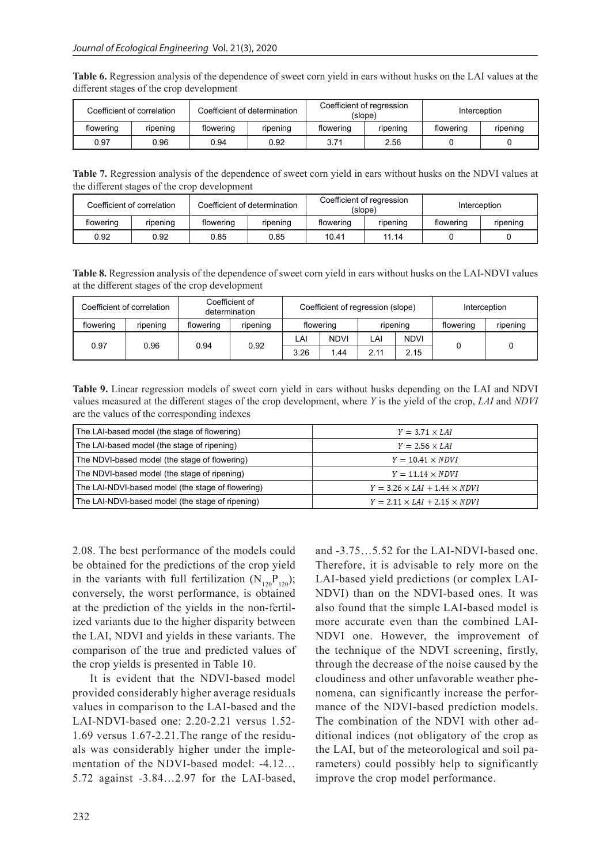**Table 6.** Regression analysis of the dependence of sweet corn yield in ears without husks on the LAI values at the different stages of the crop development

|           | Coefficient of correlation |           | Coefficient of determination |           | Coefficient of regression<br>(slope) |           | Interception |
|-----------|----------------------------|-----------|------------------------------|-----------|--------------------------------------|-----------|--------------|
| flowering | ripening                   | flowering | ripening                     | flowering | ripening                             | flowering | ripening     |
| 0.97      | 0.96                       | 0.94      | 0.92                         | 3.71      | 2.56                                 |           |              |

**Table 7.** Regression analysis of the dependence of sweet corn yield in ears without husks on the NDVI values at the different stages of the crop development

|           | Coefficient of correlation | Coefficient of determination |          |           | Coefficient of regression<br>(slope) | Interception |          |
|-----------|----------------------------|------------------------------|----------|-----------|--------------------------------------|--------------|----------|
| flowering | ripening                   | flowering                    | ripening | flowering | ripening                             | flowering    | ripening |
| 0.92      | 0.92                       | 0.85                         | 0.85     | 10.41     | 11.14                                |              |          |

**Table 8.** Regression analysis of the dependence of sweet corn yield in ears without husks on the LAI-NDVI values at the different stages of the crop development

|              | Coefficient of correlation |           | Coefficient of<br>determination | Coefficient of regression (slope) |             | Interception |             |           |          |
|--------------|----------------------------|-----------|---------------------------------|-----------------------------------|-------------|--------------|-------------|-----------|----------|
| flowering    | ripening                   | flowering | ripening                        | flowering                         |             |              | ripening    | flowering | ripening |
|              |                            | 0.94      |                                 | LAI                               | <b>NDVI</b> | LAI          | <b>NDVI</b> |           |          |
| 0.97<br>0.96 |                            | 0.92      | 3.26                            | 1.44                              | 211         | 2.15         |             |           |          |

**Table 9.** Linear regression models of sweet corn yield in ears without husks depending on the LAI and NDVI values measured at the different stages of the crop development, where *Y* is the yield of the crop, *LAI* and *NDVI* are the values of the corresponding indexes

| The LAI-based model (the stage of flowering)      | $Y = 3.71 \times LAI$                    |
|---------------------------------------------------|------------------------------------------|
| The LAI-based model (the stage of ripening)       | $Y = 2.56 \times LAI$                    |
| The NDVI-based model (the stage of flowering)     | $Y = 10.41 \times NDVI$                  |
| The NDVI-based model (the stage of ripening)      | $Y = 11.14 \times NDVI$                  |
| The LAI-NDVI-based model (the stage of flowering) | $Y = 3.26 \times LAI + 1.44 \times NDVI$ |
| The LAI-NDVI-based model (the stage of ripening)  | $Y = 2.11 \times LAI + 2.15 \times NDVI$ |

2.08. The best performance of the models could be obtained for the predictions of the crop yield in the variants with full fertilization  $(N_{120}P_{120})$ ; conversely, the worst performance, is obtained at the prediction of the yields in the non-fertilized variants due to the higher disparity between the LAI, NDVI and yields in these variants. The comparison of the true and predicted values of the crop yields is presented in Table 10.

It is evident that the NDVI-based model provided considerably higher average residuals values in comparison to the LAI-based and the LAI-NDVI-based one: 2.20-2.21 versus 1.52- 1.69 versus 1.67-2.21.The range of the residuals was considerably higher under the implementation of the NDVI-based model: -4.12… 5.72 against -3.84…2.97 for the LAI-based,

and -3.75…5.52 for the LAI-NDVI-based one. Therefore, it is advisable to rely more on the LAI-based yield predictions (or complex LAI-NDVI) than on the NDVI-based ones. It was also found that the simple LAI-based model is more accurate even than the combined LAI-NDVI one. However, the improvement of the technique of the NDVI screening, firstly, through the decrease of the noise caused by the cloudiness and other unfavorable weather phenomena, can significantly increase the performance of the NDVI-based prediction models. The combination of the NDVI with other additional indices (not obligatory of the crop as the LAI, but of the meteorological and soil parameters) could possibly help to significantly improve the crop model performance.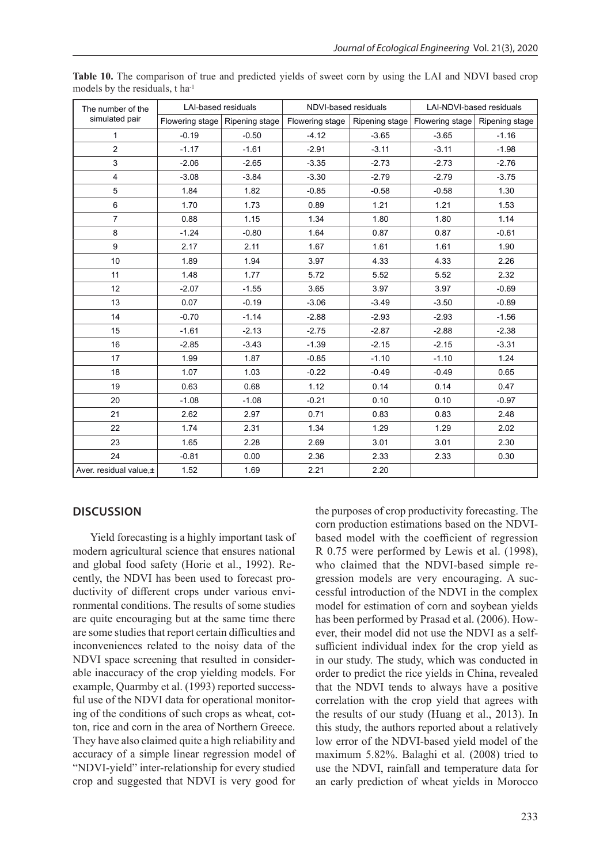| The number of the      | <b>LAI-based residuals</b>       |         | NDVI-based residuals |                | LAI-NDVI-based residuals         |         |
|------------------------|----------------------------------|---------|----------------------|----------------|----------------------------------|---------|
| simulated pair         | Flowering stage   Ripening stage |         | Flowering stage      | Ripening stage | Flowering stage   Ripening stage |         |
| $\mathbf{1}$           | $-0.19$                          | $-0.50$ | $-4.12$              | $-3.65$        | $-3.65$                          | $-1.16$ |
| $\overline{2}$         | $-1.17$                          | $-1.61$ | $-2.91$              | $-3.11$        | $-3.11$                          | $-1.98$ |
| 3                      | $-2.06$                          | $-2.65$ | $-3.35$              | $-2.73$        | $-2.73$                          | $-2.76$ |
| 4                      | $-3.08$                          | $-3.84$ | $-3.30$              | $-2.79$        | $-2.79$                          | $-3.75$ |
| 5                      | 1.84                             | 1.82    | $-0.85$              | $-0.58$        | $-0.58$                          | 1.30    |
| 6                      | 1.70                             | 1.73    | 0.89                 | 1.21           | 1.21                             | 1.53    |
| $\overline{7}$         | 0.88                             | 1.15    | 1.34                 | 1.80           | 1.80                             | 1.14    |
| 8                      | $-1.24$                          | $-0.80$ | 1.64                 | 0.87           | 0.87                             | $-0.61$ |
| 9                      | 2.17                             | 2.11    | 1.67                 | 1.61           | 1.61                             | 1.90    |
| 10                     | 1.89                             | 1.94    | 3.97                 | 4.33           | 4.33                             | 2.26    |
| 11                     | 1.48                             | 1.77    | 5.72                 | 5.52           | 5.52                             | 2.32    |
| 12                     | $-2.07$                          | $-1.55$ | 3.65                 | 3.97           | 3.97                             | $-0.69$ |
| 13                     | 0.07                             | $-0.19$ | $-3.06$              | $-3.49$        | $-3.50$                          | $-0.89$ |
| 14                     | $-0.70$                          | $-1.14$ | $-2.88$              | $-2.93$        | $-2.93$                          | $-1.56$ |
| 15                     | $-1.61$                          | $-2.13$ | $-2.75$              | $-2.87$        | $-2.88$                          | $-2.38$ |
| 16                     | $-2.85$                          | $-3.43$ | $-1.39$              | $-2.15$        | $-2.15$                          | $-3.31$ |
| 17                     | 1.99                             | 1.87    | $-0.85$              | $-1.10$        | $-1.10$                          | 1.24    |
| 18                     | 1.07                             | 1.03    | $-0.22$              | $-0.49$        | $-0.49$                          | 0.65    |
| 19                     | 0.63                             | 0.68    | 1.12                 | 0.14           | 0.14                             | 0.47    |
| 20                     | $-1.08$                          | $-1.08$ | $-0.21$              | 0.10           | 0.10                             | $-0.97$ |
| 21                     | 2.62                             | 2.97    | 0.71                 | 0.83           | 0.83                             | 2.48    |
| 22                     | 1.74                             | 2.31    | 1.34                 | 1.29           | 1.29                             | 2.02    |
| 23                     | 1.65                             | 2.28    | 2.69                 | 3.01           | 3.01                             | 2.30    |
| 24                     | $-0.81$                          | 0.00    | 2.36                 | 2.33           | 2.33                             | 0.30    |
| Aver. residual value,± | 1.52                             | 1.69    | 2.21                 | 2.20           |                                  |         |

**Table 10.** The comparison of true and predicted yields of sweet corn by using the LAI and NDVI based crop models by the residuals, t ha<sup>-1</sup>

#### **DISCUSSION**

Yield forecasting is a highly important task of modern agricultural science that ensures national and global food safety (Horie et al., 1992). Recently, the NDVI has been used to forecast productivity of different crops under various environmental conditions. The results of some studies are quite encouraging but at the same time there are some studies that report certain difficulties and inconveniences related to the noisy data of the NDVI space screening that resulted in considerable inaccuracy of the crop yielding models. For example, Quarmby et al. (1993) reported successful use of the NDVI data for operational monitoring of the conditions of such crops as wheat, cotton, rice and corn in the area of Northern Greece. They have also claimed quite a high reliability and accuracy of a simple linear regression model of "NDVI-yield" inter-relationship for every studied crop and suggested that NDVI is very good for

the purposes of crop productivity forecasting. The corn production estimations based on the NDVIbased model with the coefficient of regression R 0.75 were performed by Lewis et al. (1998), who claimed that the NDVI-based simple regression models are very encouraging. A successful introduction of the NDVI in the complex model for estimation of corn and soybean yields has been performed by Prasad et al. (2006). However, their model did not use the NDVI as a selfsufficient individual index for the crop yield as in our study. The study, which was conducted in order to predict the rice yields in China, revealed that the NDVI tends to always have a positive correlation with the crop yield that agrees with the results of our study (Huang et al., 2013). In this study, the authors reported about a relatively low error of the NDVI-based yield model of the maximum 5.82%. Balaghi et al. (2008) tried to use the NDVI, rainfall and temperature data for an early prediction of wheat yields in Morocco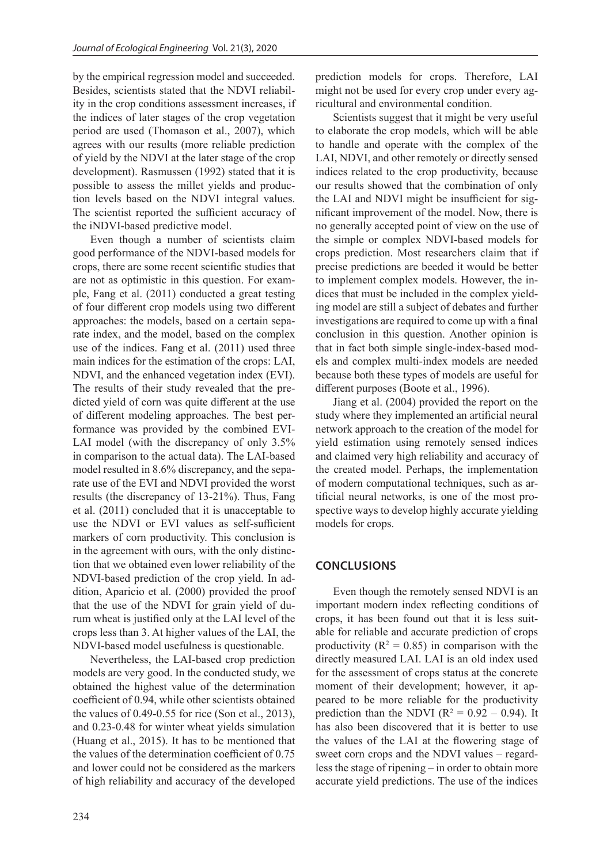by the empirical regression model and succeeded. Besides, scientists stated that the NDVI reliability in the crop conditions assessment increases, if the indices of later stages of the crop vegetation period are used (Thomason et al., 2007), which agrees with our results (more reliable prediction of yield by the NDVI at the later stage of the crop development). Rasmussen (1992) stated that it is possible to assess the millet yields and production levels based on the NDVI integral values. The scientist reported the sufficient accuracy of the iNDVI-based predictive model.

Even though a number of scientists claim good performance of the NDVI-based models for crops, there are some recent scientific studies that are not as optimistic in this question. For example, Fang et al. (2011) conducted a great testing of four different crop models using two different approaches: the models, based on a certain separate index, and the model, based on the complex use of the indices. Fang et al. (2011) used three main indices for the estimation of the crops: LAI, NDVI, and the enhanced vegetation index (EVI). The results of their study revealed that the predicted yield of corn was quite different at the use of different modeling approaches. The best performance was provided by the combined EVI-LAI model (with the discrepancy of only 3.5% in comparison to the actual data). The LAI-based model resulted in 8.6% discrepancy, and the separate use of the EVI and NDVI provided the worst results (the discrepancy of 13-21%). Thus, Fang et al. (2011) concluded that it is unacceptable to use the NDVI or EVI values as self-sufficient markers of corn productivity. This conclusion is in the agreement with ours, with the only distinction that we obtained even lower reliability of the NDVI-based prediction of the crop yield. In addition, Aparicio et al. (2000) provided the proof that the use of the NDVI for grain yield of durum wheat is justified only at the LAI level of the crops less than 3. At higher values of the LAI, the NDVI-based model usefulness is questionable.

Nevertheless, the LAI-based crop prediction models are very good. In the conducted study, we obtained the highest value of the determination coefficient of 0.94, while other scientists obtained the values of 0.49-0.55 for rice (Son et al., 2013), and 0.23-0.48 for winter wheat yields simulation (Huang et al., 2015). It has to be mentioned that the values of the determination coefficient of 0.75 and lower could not be considered as the markers of high reliability and accuracy of the developed prediction models for crops. Therefore, LAI might not be used for every crop under every agricultural and environmental condition.

Scientists suggest that it might be very useful to elaborate the crop models, which will be able to handle and operate with the complex of the LAI, NDVI, and other remotely or directly sensed indices related to the crop productivity, because our results showed that the combination of only the LAI and NDVI might be insufficient for significant improvement of the model. Now, there is no generally accepted point of view on the use of the simple or complex NDVI-based models for crops prediction. Most researchers claim that if precise predictions are beeded it would be better to implement complex models. However, the indices that must be included in the complex yielding model are still a subject of debates and further investigations are required to come up with a final conclusion in this question. Another opinion is that in fact both simple single-index-based models and complex multi-index models are needed because both these types of models are useful for different purposes (Boote et al., 1996).

Jiang et al. (2004) provided the report on the study where they implemented an artificial neural network approach to the creation of the model for yield estimation using remotely sensed indices and claimed very high reliability and accuracy of the created model. Perhaps, the implementation of modern computational techniques, such as artificial neural networks, is one of the most prospective ways to develop highly accurate yielding models for crops.

### **CONCLUSIONS**

Even though the remotely sensed NDVI is an important modern index reflecting conditions of crops, it has been found out that it is less suitable for reliable and accurate prediction of crops productivity ( $R^2 = 0.85$ ) in comparison with the directly measured LAI. LAI is an old index used for the assessment of crops status at the concrete moment of their development; however, it appeared to be more reliable for the productivity prediction than the NDVI ( $R^2 = 0.92 - 0.94$ ). It has also been discovered that it is better to use the values of the LAI at the flowering stage of sweet corn crops and the NDVI values – regardless the stage of ripening – in order to obtain more accurate yield predictions. The use of the indices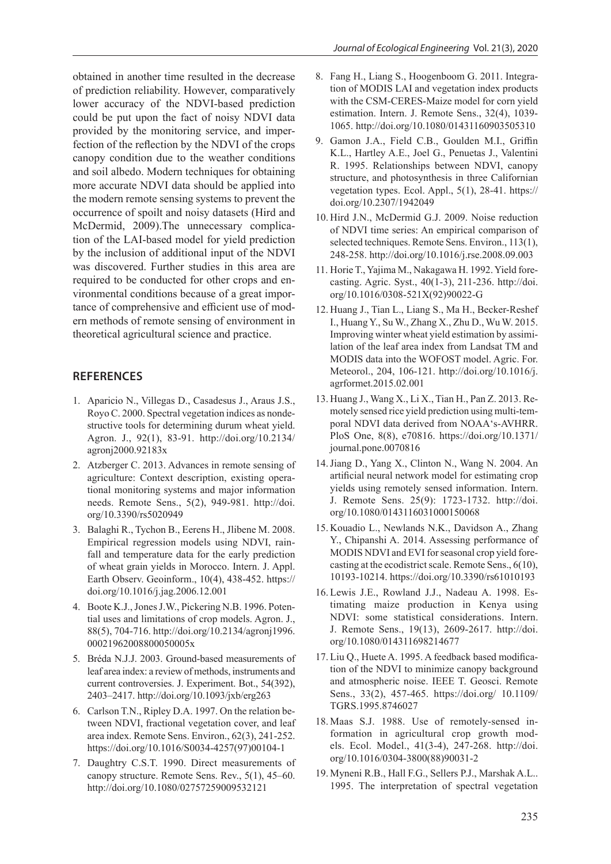obtained in another time resulted in the decrease of prediction reliability. However, comparatively lower accuracy of the NDVI-based prediction could be put upon the fact of noisy NDVI data provided by the monitoring service, and imperfection of the reflection by the NDVI of the crops canopy condition due to the weather conditions and soil albedo. Modern techniques for obtaining more accurate NDVI data should be applied into the modern remote sensing systems to prevent the occurrence of spoilt and noisy datasets (Hird and McDermid, 2009).The unnecessary complication of the LAI-based model for yield prediction by the inclusion of additional input of the NDVI was discovered. Further studies in this area are required to be conducted for other crops and environmental conditions because of a great importance of comprehensive and efficient use of modern methods of remote sensing of environment in theoretical agricultural science and practice.

# **REFERENCES**

- 1. Aparicio N., Villegas D., Casadesus J., Araus J.S., Royo C. 2000. Spectral vegetation indices as nondestructive tools for determining durum wheat yield. Agron. J., 92(1), 83-91. http://doi.org/10.2134/ agronj2000.92183x
- 2. Atzberger C. 2013. Advances in remote sensing of agriculture: Context description, existing operational monitoring systems and major information needs. Remote Sens., 5(2), 949-981. http://doi. org/10.3390/rs5020949
- 3. Balaghi R., Tychon B., Eerens H., Jlibene M. 2008. Empirical regression models using NDVI, rainfall and temperature data for the early prediction of wheat grain yields in Morocco. Intern. J. Appl. Earth Observ. Geoinform., 10(4), 438-452. https:// doi.org/10.1016/j.jag.2006.12.001
- 4. Boote K.J., Jones J.W., Pickering N.B. 1996. Potential uses and limitations of crop models. Agron. J., 88(5), 704-716. http://doi.org/10.2134/agronj1996. 00021962008800050005x
- 5. Bréda N.J.J. 2003. Ground-based measurements of leaf area index: a review of methods, instruments and current controversies. J. Experiment. Bot., 54(392), 2403–2417. http://doi.org/10.1093/jxb/erg263
- 6. Carlson T.N., Ripley D.A. 1997. On the relation between NDVI, fractional vegetation cover, and leaf area index. Remote Sens. Environ., 62(3), 241-252. https://doi.org/10.1016/S0034-4257(97)00104-1
- 7. Daughtry C.S.T. 1990. Direct measurements of canopy structure. Remote Sens. Rev., 5(1), 45–60. http://doi.org/10.1080/02757259009532121
- 8. Fang H., Liang S., Hoogenboom G. 2011. Integration of MODIS LAI and vegetation index products with the CSM-CERES-Maize model for corn yield estimation. Intern. J. Remote Sens., 32(4), 1039- 1065. http://doi.org/10.1080/01431160903505310
- 9. Gamon J.A., Field C.B., Goulden M.I., Griffin K.L., Hartley A.E., Joel G., Penuetas J., Valentini R. 1995. Relationships between NDVI, canopy structure, and photosynthesis in three Californian vegetation types. Ecol. Appl., 5(1), 28-41. https:// doi.org/10.2307/1942049
- 10. Hird J.N., McDermid G.J. 2009. Noise reduction of NDVI time series: An empirical comparison of selected techniques. Remote Sens. Environ., 113(1), 248-258. http://doi.org/10.1016/j.rse.2008.09.003
- 11. Horie T., Yajima M., Nakagawa H. 1992. Yield forecasting. Agric. Syst., 40(1-3), 211-236. http://doi. org/10.1016/0308-521X(92)90022-G
- 12. Huang J., Tian L., Liang S., Ma H., Becker-Reshef I., Huang Y., Su W., Zhang X., Zhu D., Wu W. 2015. Improving winter wheat yield estimation by assimilation of the leaf area index from Landsat TM and MODIS data into the WOFOST model. Agric. For. Meteorol., 204, 106-121. http://doi.org/10.1016/j. agrformet.2015.02.001
- 13. Huang J., Wang X., Li X., Tian H., Pan Z. 2013. Remotely sensed rice yield prediction using multi-temporal NDVI data derived from NOAA's-AVHRR. PloS One, 8(8), e70816. https://doi.org/10.1371/ journal.pone.0070816
- 14.Jiang D., Yang X., Clinton N., Wang N. 2004. An artificial neural network model for estimating crop yields using remotely sensed information. Intern. J. Remote Sens. 25(9): 1723-1732. http://doi. org/10.1080/0143116031000150068
- 15. Kouadio L., Newlands N.K., Davidson A., Zhang Y., Chipanshi A. 2014. Assessing performance of MODIS NDVI and EVI for seasonal crop yield forecasting at the ecodistrict scale. Remote Sens., 6(10), 10193-10214. https://doi.org/10.3390/rs61010193
- 16. Lewis J.E., Rowland J.J., Nadeau A. 1998. Estimating maize production in Kenya using NDVI: some statistical considerations. Intern. J. Remote Sens., 19(13), 2609-2617. http://doi. org/10.1080/014311698214677
- 17. Liu Q., Huete A. 1995. A feedback based modification of the NDVI to minimize canopy background and atmospheric noise. IEEE T. Geosci. Remote Sens., 33(2), 457-465. https://doi.org/ 10.1109/ TGRS.1995.8746027
- 18. Maas S.J. 1988. Use of remotely-sensed information in agricultural crop growth models. Ecol. Model., 41(3-4), 247-268. http://doi. org/10.1016/0304-3800(88)90031-2
- 19. Myneni R.B., Hall F.G., Sellers P.J., Marshak A.L.. 1995. The interpretation of spectral vegetation